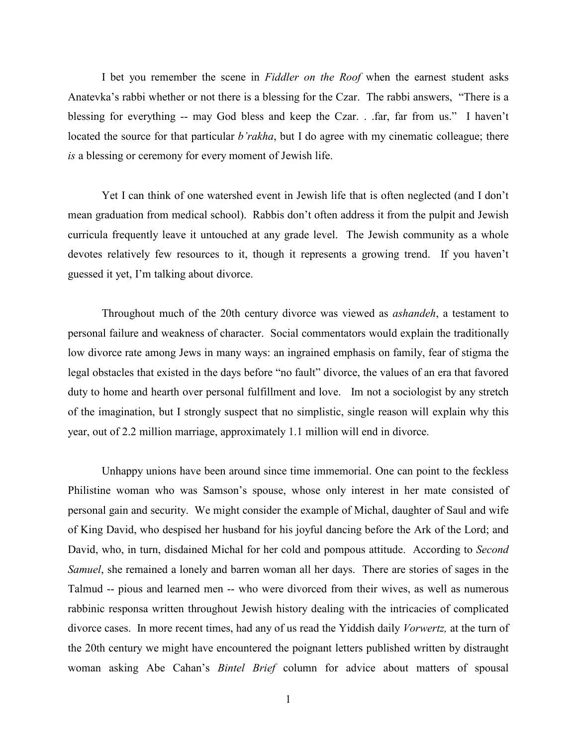I bet you remember the scene in *Fiddler on the Roof* when the earnest student asks Anatevka's rabbi whether or not there is a blessing for the Czar. The rabbi answers, "There is a blessing for everything -- may God bless and keep the Czar. . .far, far from us." I haven't located the source for that particular *b'rakha*, but I do agree with my cinematic colleague; there *is* a blessing or ceremony for every moment of Jewish life.

Yet I can think of one watershed event in Jewish life that is often neglected (and I don't mean graduation from medical school). Rabbis don't often address it from the pulpit and Jewish curricula frequently leave it untouched at any grade level. The Jewish community as a whole devotes relatively few resources to it, though it represents a growing trend. If you haven't guessed it yet, I'm talking about divorce.

Throughout much of the 20th century divorce was viewed as *ashandeh*, a testament to personal failure and weakness of character. Social commentators would explain the traditionally low divorce rate among Jews in many ways: an ingrained emphasis on family, fear of stigma the legal obstacles that existed in the days before "no fault" divorce, the values of an era that favored duty to home and hearth over personal fulfillment and love. Im not a sociologist by any stretch of the imagination, but I strongly suspect that no simplistic, single reason will explain why this year, out of 2.2 million marriage, approximately 1.1 million will end in divorce.

Unhappy unions have been around since time immemorial. One can point to the feckless Philistine woman who was Samson's spouse, whose only interest in her mate consisted of personal gain and security. We might consider the example of Michal, daughter of Saul and wife of King David, who despised her husband for his joyful dancing before the Ark of the Lord; and David, who, in turn, disdained Michal for her cold and pompous attitude. According to *Second Samuel*, she remained a lonely and barren woman all her days. There are stories of sages in the Talmud -- pious and learned men -- who were divorced from their wives, as well as numerous rabbinic responsa written throughout Jewish history dealing with the intricacies of complicated divorce cases. In more recent times, had any of us read the Yiddish daily *Vorwertz,* at the turn of the 20th century we might have encountered the poignant letters published written by distraught woman asking Abe Cahan's *Bintel Brief* column for advice about matters of spousal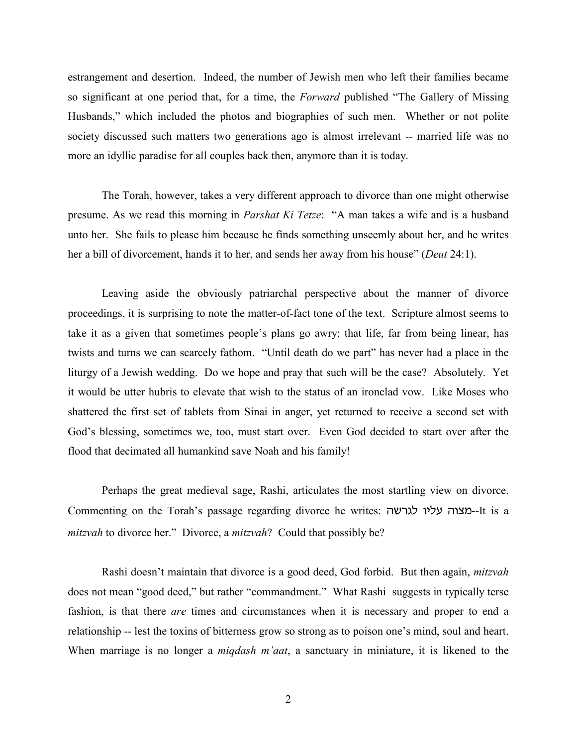estrangement and desertion. Indeed, the number of Jewish men who left their families became so significant at one period that, for a time, the *Forward* published "The Gallery of Missing Husbands," which included the photos and biographies of such men. Whether or not polite society discussed such matters two generations ago is almost irrelevant -- married life was no more an idyllic paradise for all couples back then, anymore than it is today.

The Torah, however, takes a very different approach to divorce than one might otherwise presume. As we read this morning in *Parshat Ki Tetze*: "A man takes a wife and is a husband unto her. She fails to please him because he finds something unseemly about her, and he writes her a bill of divorcement, hands it to her, and sends her away from his house" (*Deut* 24:1).

Leaving aside the obviously patriarchal perspective about the manner of divorce proceedings, it is surprising to note the matter-of-fact tone of the text. Scripture almost seems to take it as a given that sometimes people's plans go awry; that life, far from being linear, has twists and turns we can scarcely fathom. "Until death do we part" has never had a place in the liturgy of a Jewish wedding. Do we hope and pray that such will be the case? Absolutely. Yet it would be utter hubris to elevate that wish to the status of an ironclad vow. Like Moses who shattered the first set of tablets from Sinai in anger, yet returned to receive a second set with God's blessing, sometimes we, too, must start over. Even God decided to start over after the flood that decimated all humankind save Noah and his family!

Perhaps the great medieval sage, Rashi, articulates the most startling view on divorce. Commenting on the Torah's passage regarding divorce he writes: במצוה עליו לגרשה-It is a *mitzvah* to divorce her." Divorce, a *mitzvah*? Could that possibly be?

Rashi doesn't maintain that divorce is a good deed, God forbid. But then again, *mitzvah* does not mean "good deed," but rather "commandment." What Rashi suggests in typically terse fashion, is that there *are* times and circumstances when it is necessary and proper to end a relationship -- lest the toxins of bitterness grow so strong as to poison one's mind, soul and heart. When marriage is no longer a *miqdash m'aat*, a sanctuary in miniature, it is likened to the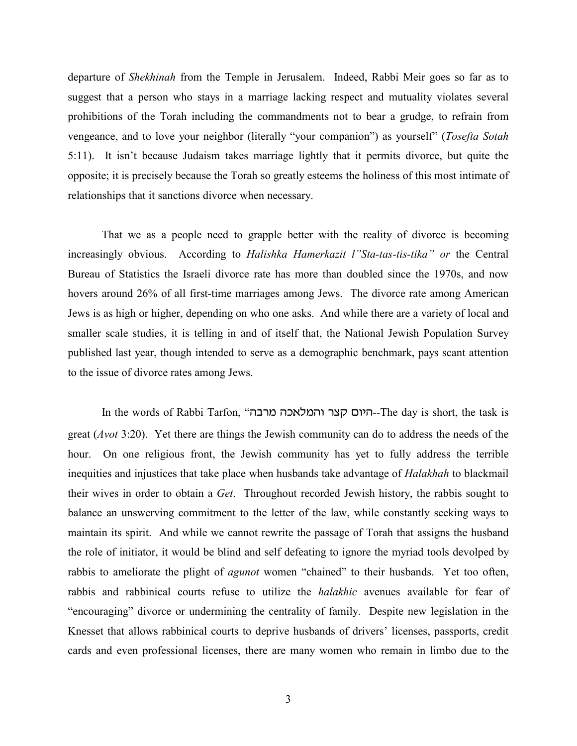departure of *Shekhinah* from the Temple in Jerusalem. Indeed, Rabbi Meir goes so far as to suggest that a person who stays in a marriage lacking respect and mutuality violates several prohibitions of the Torah including the commandments not to bear a grudge, to refrain from vengeance, and to love your neighbor (literally "your companion") as yourself" (*Tosefta Sotah* 5:11). It isn't because Judaism takes marriage lightly that it permits divorce, but quite the opposite; it is precisely because the Torah so greatly esteems the holiness of this most intimate of relationships that it sanctions divorce when necessary.

That we as a people need to grapple better with the reality of divorce is becoming increasingly obvious. According to *Halishka Hamerkazit l"Sta-tas-tis-tika" or* the Central Bureau of Statistics the Israeli divorce rate has more than doubled since the 1970s, and now hovers around 26% of all first-time marriages among Jews. The divorce rate among American Jews is as high or higher, depending on who one asks. And while there are a variety of local and smaller scale studies, it is telling in and of itself that, the National Jewish Population Survey published last year, though intended to serve as a demographic benchmark, pays scant attention to the issue of divorce rates among Jews.

In the words of Rabbi Tarfon, "היום קצר והמלאכה מרבה". The day is short, the task is great (*Avot* 3:20). Yet there are things the Jewish community can do to address the needs of the hour. On one religious front, the Jewish community has yet to fully address the terrible inequities and injustices that take place when husbands take advantage of *Halakhah* to blackmail their wives in order to obtain a *Get*. Throughout recorded Jewish history, the rabbis sought to balance an unswerving commitment to the letter of the law, while constantly seeking ways to maintain its spirit. And while we cannot rewrite the passage of Torah that assigns the husband the role of initiator, it would be blind and self defeating to ignore the myriad tools devolped by rabbis to ameliorate the plight of *agunot* women "chained" to their husbands. Yet too often, rabbis and rabbinical courts refuse to utilize the *halakhic* avenues available for fear of "encouraging" divorce or undermining the centrality of family. Despite new legislation in the Knesset that allows rabbinical courts to deprive husbands of drivers' licenses, passports, credit cards and even professional licenses, there are many women who remain in limbo due to the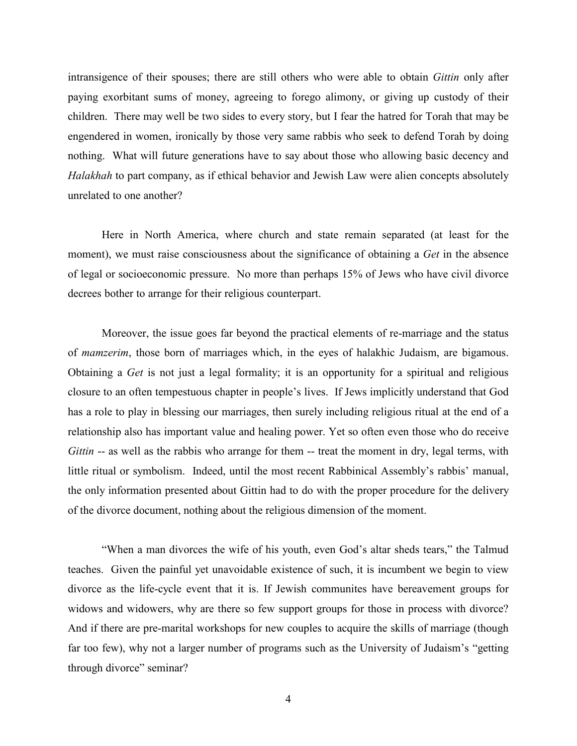intransigence of their spouses; there are still others who were able to obtain *Gittin* only after paying exorbitant sums of money, agreeing to forego alimony, or giving up custody of their children. There may well be two sides to every story, but I fear the hatred for Torah that may be engendered in women, ironically by those very same rabbis who seek to defend Torah by doing nothing. What will future generations have to say about those who allowing basic decency and *Halakhah* to part company, as if ethical behavior and Jewish Law were alien concepts absolutely unrelated to one another?

Here in North America, where church and state remain separated (at least for the moment), we must raise consciousness about the significance of obtaining a *Get* in the absence of legal or socioeconomic pressure. No more than perhaps 15% of Jews who have civil divorce decrees bother to arrange for their religious counterpart.

Moreover, the issue goes far beyond the practical elements of re-marriage and the status of *mamzerim*, those born of marriages which, in the eyes of halakhic Judaism, are bigamous. Obtaining a *Get* is not just a legal formality; it is an opportunity for a spiritual and religious closure to an often tempestuous chapter in people's lives. If Jews implicitly understand that God has a role to play in blessing our marriages, then surely including religious ritual at the end of a relationship also has important value and healing power. Yet so often even those who do receive *Gittin* -- as well as the rabbis who arrange for them -- treat the moment in dry, legal terms, with little ritual or symbolism. Indeed, until the most recent Rabbinical Assembly's rabbis' manual, the only information presented about Gittin had to do with the proper procedure for the delivery of the divorce document, nothing about the religious dimension of the moment.

"When a man divorces the wife of his youth, even God's altar sheds tears," the Talmud teaches. Given the painful yet unavoidable existence of such, it is incumbent we begin to view divorce as the life-cycle event that it is. If Jewish communites have bereavement groups for widows and widowers, why are there so few support groups for those in process with divorce? And if there are pre-marital workshops for new couples to acquire the skills of marriage (though far too few), why not a larger number of programs such as the University of Judaism's "getting through divorce" seminar?